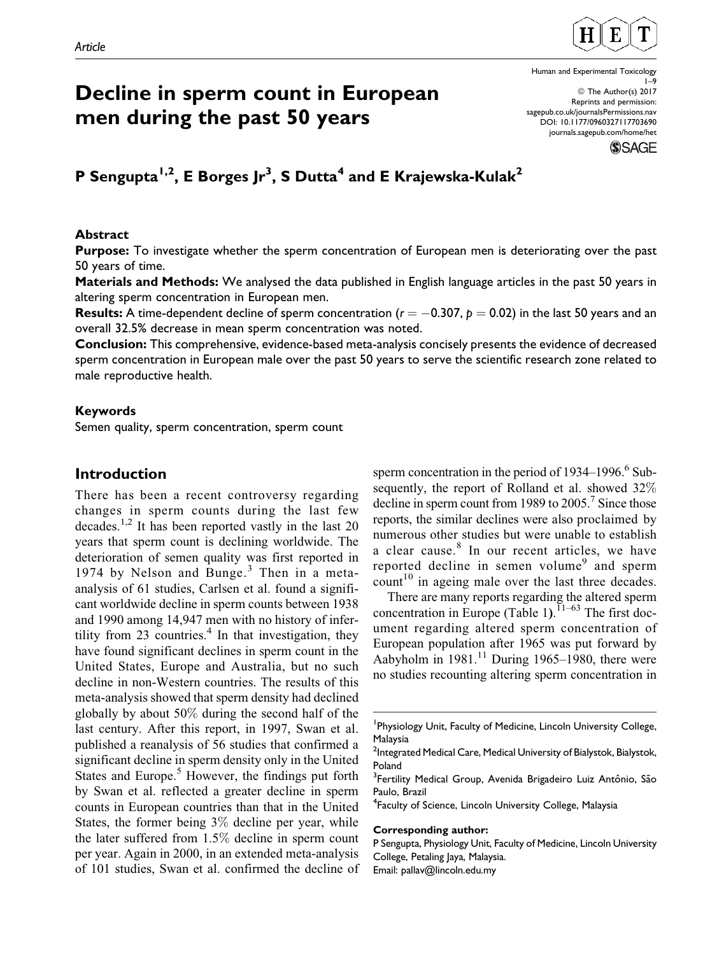

# Decline in sperm count in European men during the past 50 years

## **P** Sengupta<sup>1,2</sup>, E Borges Jr<sup>3</sup>, S Dutta<sup>4</sup> and E Krajewska-Kulak<sup>2</sup>

#### Abstract

**Purpose:** To investigate whether the sperm concentration of European men is deteriorating over the past 50 years of time.

Materials and Methods: We analysed the data published in English language articles in the past 50 years in altering sperm concentration in European men.

**Results:** A time-dependent decline of sperm concentration ( $r=-0.307,$   $p=0.02)$  in the last 50 years and an overall 32.5% decrease in mean sperm concentration was noted.

Conclusion: This comprehensive, evidence-based meta-analysis concisely presents the evidence of decreased sperm concentration in European male over the past 50 years to serve the scientific research zone related to male reproductive health.

#### Keywords

Semen quality, sperm concentration, sperm count

## Introduction

There has been a recent controversy regarding changes in sperm counts during the last few decades.<sup>1,2</sup> It has been reported vastly in the last 20 years that sperm count is declining worldwide. The deterioration of semen quality was first reported in 1974 by Nelson and Bunge.<sup>3</sup> Then in a metaanalysis of 61 studies, Carlsen et al. found a significant worldwide decline in sperm counts between 1938 and 1990 among 14,947 men with no history of infertility from 23 countries.<sup>4</sup> In that investigation, they have found significant declines in sperm count in the United States, Europe and Australia, but no such decline in non-Western countries. The results of this meta-analysis showed that sperm density had declined globally by about 50% during the second half of the last century. After this report, in 1997, Swan et al. published a reanalysis of 56 studies that confirmed a significant decline in sperm density only in the United States and Europe. $5$  However, the findings put forth by Swan et al. reflected a greater decline in sperm counts in European countries than that in the United States, the former being 3% decline per year, while the later suffered from 1.5% decline in sperm count per year. Again in 2000, in an extended meta-analysis of 101 studies, Swan et al. confirmed the decline of sperm concentration in the period of 1934–1996.<sup>6</sup> Subsequently, the report of Rolland et al. showed 32% decline in sperm count from 1989 to  $2005<sup>7</sup>$  Since those reports, the similar declines were also proclaimed by numerous other studies but were unable to establish a clear cause.<sup>8</sup> In our recent articles, we have reported decline in semen volume<sup>9</sup> and sperm count<sup>10</sup> in ageing male over the last three decades.

There are many reports regarding the altered sperm concentration in Europe (Table 1).<sup> $11-63$ </sup> The first document regarding altered sperm concentration of European population after 1965 was put forward by Aabyholm in  $1981$ .<sup>11</sup> During 1965–1980, there were no studies recounting altering sperm concentration in

#### Corresponding author:

1–9 © The Author(s) 2017 Reprints and permission: [sagepub.co.uk/journalsPermissions.nav](https://uk.sagepub.com/en-gb/journals-permissions) [DOI: 10.1177/0960327117703690](https://doi.org/10.1177/0960327117703690) [journals.sagepub.com/home/het](http://journals.sagepub.com/home/het)

Human and Experimental Toxicology



<sup>&</sup>lt;sup>1</sup> Physiology Unit, Faculty of Medicine, Lincoln University College, Malaysia

<sup>&</sup>lt;sup>2</sup>Integrated Medical Care, Medical University of Bialystok, Bialystok, Poland

<sup>&</sup>lt;sup>3</sup> Fertility Medical Group, Avenida Brigadeiro Luiz Antônio, São Paulo, Brazil

<sup>4</sup> Faculty of Science, Lincoln University College, Malaysia

P Sengupta, Physiology Unit, Faculty of Medicine, Lincoln University College, Petaling Jaya, Malaysia. Email: pallav@lincoln.edu.my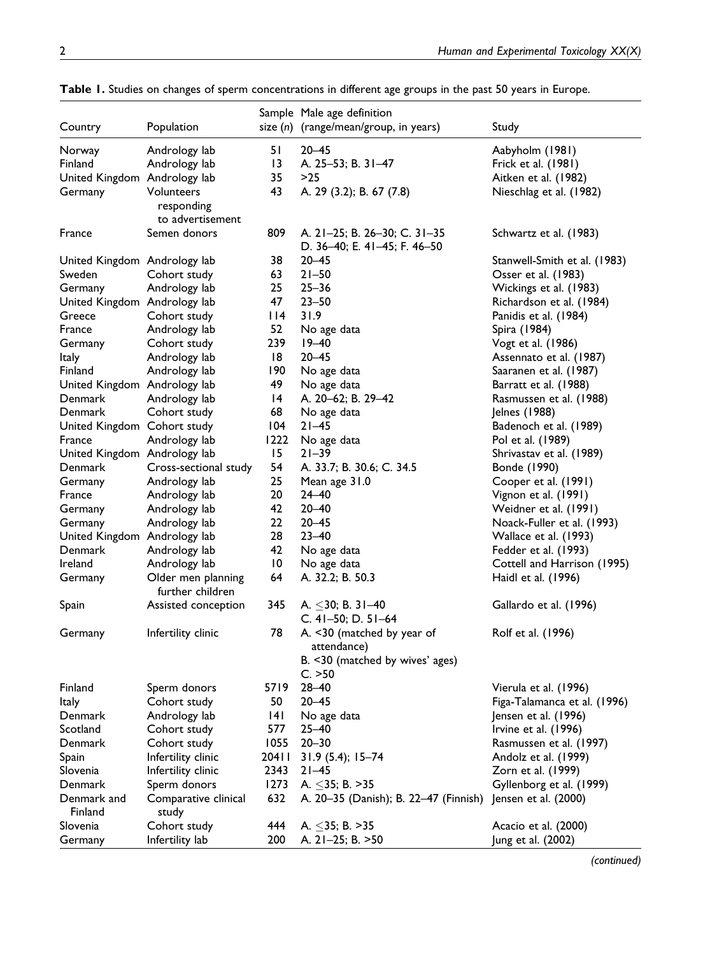|                              |                                        |                 | Sample Male age definition                                                              |                                        |
|------------------------------|----------------------------------------|-----------------|-----------------------------------------------------------------------------------------|----------------------------------------|
| Country                      | Population                             |                 | size $(n)$ (range/mean/group, in years)                                                 | Study                                  |
|                              |                                        | 51              | $20 - 45$                                                                               |                                        |
| Norway<br>Finland            | Andrology lab<br>Andrology lab         | 13              | A. 25-53; B. 31-47                                                                      | Aabyholm (1981)<br>Frick et al. (1981) |
| United Kingdom Andrology lab |                                        | 35              | $>25$                                                                                   | Aitken et al. (1982)                   |
|                              | Volunteers                             | 43              | A. 29 (3.2); B. 67 (7.8)                                                                |                                        |
| Germany                      |                                        |                 |                                                                                         | Nieschlag et al. (1982)                |
|                              | responding<br>to advertisement         |                 |                                                                                         |                                        |
| France                       | Semen donors                           | 809             | A. 21-25; B. 26-30; C. 31-35<br>D. 36-40; E. 41-45; F. 46-50                            | Schwartz et al. (1983)                 |
| United Kingdom Andrology lab |                                        | 38              | $20 - 45$                                                                               | Stanwell-Smith et al. (1983)           |
| Sweden                       | Cohort study                           | 63              | $21 - 50$                                                                               | Osser et al. (1983)                    |
| Germany                      | Andrology lab                          | 25              | $25 - 36$                                                                               | Wickings et al. (1983)                 |
| United Kingdom Andrology lab |                                        | 47              | $23 - 50$                                                                               | Richardson et al. (1984)               |
| Greece                       | Cohort study                           | 114             | 31.9                                                                                    | Panidis et al. (1984)                  |
| France                       | Andrology lab                          | 52              | No age data                                                                             | Spira (1984)                           |
| Germany                      | Cohort study                           | 239             | $19 - 40$                                                                               | Vogt et al. (1986)                     |
| <b>Italy</b>                 | Andrology lab                          | 8               | $20 - 45$                                                                               | Assennato et al. (1987)                |
| Finland                      | Andrology lab                          | 190             | No age data                                                                             | Saaranen et al. (1987)                 |
| United Kingdom Andrology lab |                                        | 49              | No age data                                                                             | Barratt et al. (1988)                  |
| Denmark                      | Andrology lab                          | 4               | A. 20-62; B. 29-42                                                                      | Rasmussen et al. (1988)                |
| Denmark                      | Cohort study                           | 68              | No age data                                                                             | Jelnes (1988)                          |
| United Kingdom Cohort study  |                                        | 104             | $21 - 45$                                                                               | Badenoch et al. (1989)                 |
| France                       | Andrology lab                          | 1222            | No age data                                                                             | Pol et al. (1989)                      |
| United Kingdom Andrology lab |                                        | 15              | $21 - 39$                                                                               | Shrivastav et al. (1989)               |
| Denmark                      | Cross-sectional study                  | 54              | A. 33.7; B. 30.6; C. 34.5                                                               | Bonde (1990)                           |
| Germany                      | Andrology lab                          | 25              | Mean age 31.0                                                                           | Cooper et al. (1991)                   |
| France                       | Andrology lab                          | 20              | $24 - 40$                                                                               | Vignon et al. (1991)                   |
| Germany                      | Andrology lab                          | 42              | $20 - 40$                                                                               | Weidner et al. (1991)                  |
| Germany                      | Andrology lab                          | 22              | $20 - 45$                                                                               | Noack-Fuller et al. (1993)             |
| United Kingdom Andrology lab |                                        | 28              | $23 - 40$                                                                               | Wallace et al. (1993)                  |
| Denmark                      | Andrology lab                          | 42              | No age data                                                                             | Fedder et al. (1993)                   |
| Ireland                      | Andrology lab                          | $\overline{10}$ | No age data                                                                             | Cottell and Harrison (1995)            |
| Germany                      | Older men planning<br>further children | 64              | A. 32.2; B. 50.3                                                                        | Haidl et al. (1996)                    |
| Spain                        | Assisted conception                    | 345             | A. $\leq$ 30; B. 31-40<br>C. 41-50; D. 51-64                                            | Gallardo et al. (1996)                 |
| Germany                      | Infertility clinic                     | 78              | A. <30 (matched by year of<br>attendance)<br>B. <30 (matched by wives' ages)<br>C. > 50 | Rolf et al. (1996)                     |
| Finland                      | Sperm donors                           | 5719            | $28 - 40$                                                                               | Vierula et al. (1996)                  |
| ltaly                        | Cohort study                           | 50              | $20 - 45$                                                                               | Figa-Talamanca et al. (1996)           |
| Denmark                      | Andrology lab                          | 4               | No age data                                                                             | Jensen et al. (1996)                   |
| Scotland                     | Cohort study                           | 577             | $25 - 40$                                                                               | Irvine et al. (1996)                   |
| Denmark                      | Cohort study                           | 1055            | $20 - 30$                                                                               | Rasmussen et al. (1997)                |
| Spain                        | Infertility clinic                     | 20411           | $31.9(5.4); 15-74$                                                                      | Andolz et al. (1999)                   |
| Slovenia                     | Infertility clinic                     | 2343            | $21 - 45$                                                                               | Zorn et al. (1999)                     |
| Denmark                      | Sperm donors                           | 1273            | A. $\leq$ 35; B. >35                                                                    | Gyllenborg et al. (1999)               |
| Denmark and                  | Comparative clinical                   | 632             | A. 20–35 (Danish); B. 22–47 (Finnish)                                                   | Jensen et al. (2000)                   |
| Finland                      | study                                  |                 |                                                                                         |                                        |
| Slovenia                     | Cohort study                           | 444             | A. $\leq$ 35; B. >35                                                                    | Acacio et al. (2000)                   |
| Germany                      | Infertility lab                        | 200             | A. 21-25; B. >50                                                                        | Jung et al. (2002)                     |

| Table 1. Studies on changes of sperm concentrations in different age groups in the past 50 years in Europe. |  |
|-------------------------------------------------------------------------------------------------------------|--|

(continued)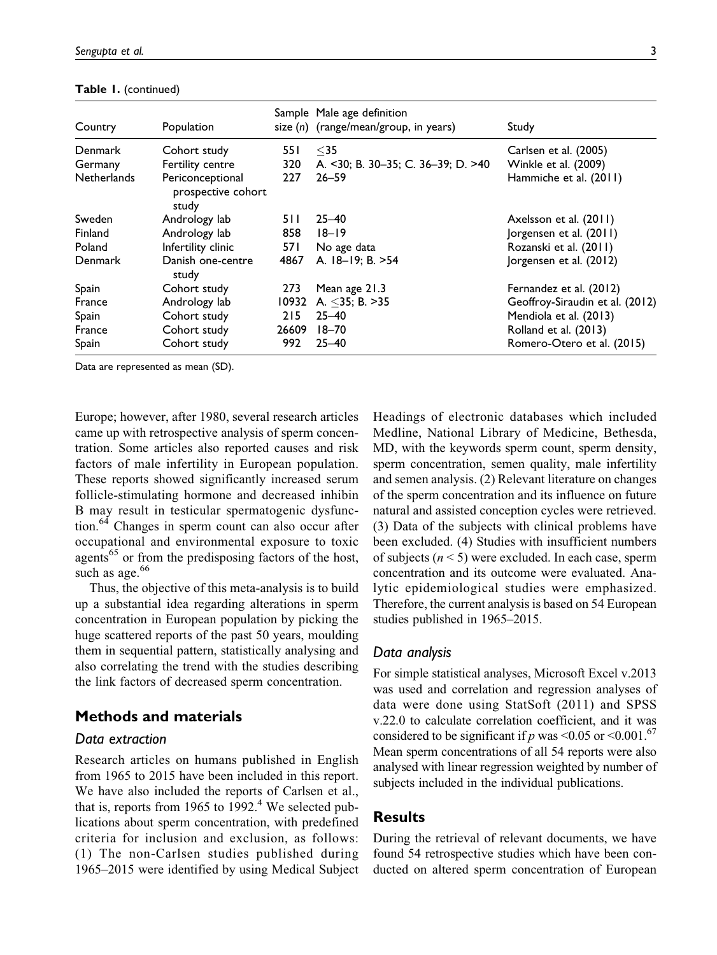| Country            | Population                                      |       | Sample Male age definition<br>size $(n)$ (range/mean/group, in years) | Study                           |
|--------------------|-------------------------------------------------|-------|-----------------------------------------------------------------------|---------------------------------|
| Denmark            | Cohort study                                    | 55 I  | $35$                                                                  | Carlsen et al. (2005)           |
| Germany            | Fertility centre                                | 320   | A. <30; B. 30-35; C. 36-39; D. >40                                    | Winkle et al. (2009)            |
| <b>Netherlands</b> | Periconceptional<br>prospective cohort<br>study | 227   | $26 - 59$                                                             | Hammiche et al. (2011)          |
| Sweden             | Andrology lab                                   | 5 I I | $25 - 40$                                                             | Axelsson et al. (2011)          |
| Finland            | Andrology lab                                   | 858   | $18 - 19$                                                             | Jorgensen et al. (2011)         |
| Poland             | Infertility clinic                              | 57 I  | No age data                                                           | Rozanski et al. (2011)          |
| <b>Denmark</b>     | Danish one-centre<br>study                      | 4867  | A. 18-19; B. >54                                                      | Jorgensen et al. (2012)         |
| Spain              | Cohort study                                    | 273   | Mean age 21.3                                                         | Fernandez et al. (2012)         |
| France             | Andrology lab                                   | 10932 | A. $\leq$ 35; B. >35                                                  | Geoffroy-Siraudin et al. (2012) |
| Spain              | Cohort study                                    | 215   | $25 - 40$                                                             | Mendiola et al. (2013)          |
| France             | Cohort study                                    | 26609 | $18 - 70$                                                             | Rolland et al. (2013)           |
| Spain              | Cohort study                                    | 992   | $25 - 40$                                                             | Romero-Otero et al. (2015)      |

Table 1. (continued)

Data are represented as mean (SD).

Europe; however, after 1980, several research articles came up with retrospective analysis of sperm concentration. Some articles also reported causes and risk factors of male infertility in European population. These reports showed significantly increased serum follicle-stimulating hormone and decreased inhibin B may result in testicular spermatogenic dysfunction.64 Changes in sperm count can also occur after occupational and environmental exposure to toxic agents<sup>65</sup> or from the predisposing factors of the host, such as age. $66$ 

Thus, the objective of this meta-analysis is to build up a substantial idea regarding alterations in sperm concentration in European population by picking the huge scattered reports of the past 50 years, moulding them in sequential pattern, statistically analysing and also correlating the trend with the studies describing the link factors of decreased sperm concentration.

## Methods and materials

#### Data extraction

Research articles on humans published in English from 1965 to 2015 have been included in this report. We have also included the reports of Carlsen et al., that is, reports from 1965 to 1992.<sup>4</sup> We selected publications about sperm concentration, with predefined criteria for inclusion and exclusion, as follows: (1) The non-Carlsen studies published during 1965–2015 were identified by using Medical Subject Headings of electronic databases which included Medline, National Library of Medicine, Bethesda, MD, with the keywords sperm count, sperm density, sperm concentration, semen quality, male infertility and semen analysis. (2) Relevant literature on changes of the sperm concentration and its influence on future natural and assisted conception cycles were retrieved. (3) Data of the subjects with clinical problems have been excluded. (4) Studies with insufficient numbers of subjects  $(n < 5)$  were excluded. In each case, sperm concentration and its outcome were evaluated. Analytic epidemiological studies were emphasized. Therefore, the current analysis is based on 54 European studies published in 1965–2015.

#### Data analysis

For simple statistical analyses, Microsoft Excel v.2013 was used and correlation and regression analyses of data were done using StatSoft (2011) and SPSS v.22.0 to calculate correlation coefficient, and it was considered to be significant if p was  $\leq 0.05$  or  $\leq 0.001$ .<sup>67</sup> Mean sperm concentrations of all 54 reports were also analysed with linear regression weighted by number of subjects included in the individual publications.

#### Results

During the retrieval of relevant documents, we have found 54 retrospective studies which have been conducted on altered sperm concentration of European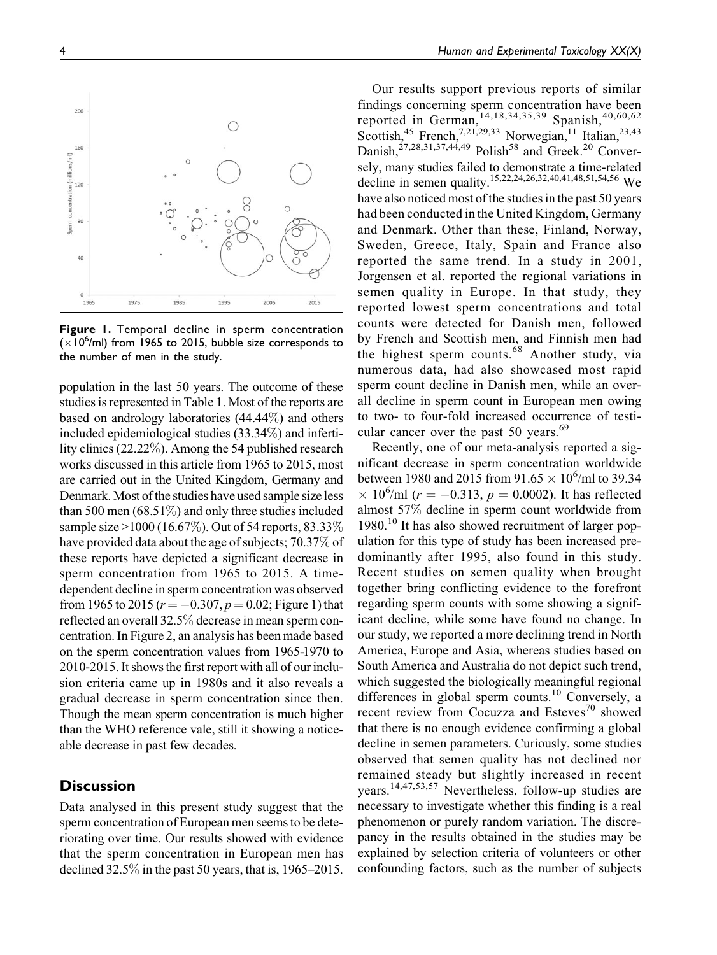Figure 1. Temporal decline in sperm concentration  $(x10<sup>6</sup>/ml)$  from 1965 to 2015, bubble size corresponds to the number of men in the study.

population in the last 50 years. The outcome of these studies is represented in Table 1. Most of the reports are based on andrology laboratories (44.44%) and others included epidemiological studies (33.34%) and infertility clinics (22.22%). Among the 54 published research works discussed in this article from 1965 to 2015, most are carried out in the United Kingdom, Germany and Denmark. Most of the studies have used sample size less than 500 men  $(68.51\%)$  and only three studies included sample size >1000 (16.67%). Out of 54 reports, 83.33% have provided data about the age of subjects; 70.37% of these reports have depicted a significant decrease in sperm concentration from 1965 to 2015. A timedependent decline in sperm concentration was observed from 1965 to 2015 ( $r = -0.307, p = 0.02$ ; Figure 1) that reflected an overall 32.5% decrease in mean sperm concentration. In Figure 2, an analysis has been made based on the sperm concentration values from 1965-1970 to 2010-2015. It shows the first report with all of our inclusion criteria came up in 1980s and it also reveals a gradual decrease in sperm concentration since then. Though the mean sperm concentration is much higher than the WHO reference vale, still it showing a noticeable decrease in past few decades.

## **Discussion**

Data analysed in this present study suggest that the sperm concentration of European men seems to be deteriorating over time. Our results showed with evidence that the sperm concentration in European men has declined 32.5% in the past 50 years, that is, 1965–2015.

Our results support previous reports of similar findings concerning sperm concentration have been reported in German,  $^{14,18,34,35,39}$  Spanish,  $^{40,60,62}$ Scottish,<sup>45</sup> French,<sup>7,21,29,33</sup> Norwegian,<sup>11</sup> Italian,<sup>23,43</sup> Danish,<sup>27,28,31,37,44,49</sup> Polish<sup>58</sup> and Greek.<sup>20</sup> Conversely, many studies failed to demonstrate a time-related decline in semen quality.<sup>15,22,24,26,32,40,41,48,51,54,56</sup> We have also noticed most of the studies in the past 50 years had been conducted in the United Kingdom, Germany and Denmark. Other than these, Finland, Norway, Sweden, Greece, Italy, Spain and France also reported the same trend. In a study in 2001, Jorgensen et al. reported the regional variations in semen quality in Europe. In that study, they reported lowest sperm concentrations and total counts were detected for Danish men, followed by French and Scottish men, and Finnish men had the highest sperm counts.<sup>68</sup> Another study, via numerous data, had also showcased most rapid sperm count decline in Danish men, while an overall decline in sperm count in European men owing to two- to four-fold increased occurrence of testicular cancer over the past 50 years.<sup>69</sup>

Recently, one of our meta-analysis reported a significant decrease in sperm concentration worldwide between 1980 and 2015 from 91.65  $\times$  10<sup>6</sup>/ml to 39.34  $\times$  10<sup>6</sup>/ml (*r* = -0.313, *p* = 0.0002). It has reflected almost 57% decline in sperm count worldwide from 1980.<sup>10</sup> It has also showed recruitment of larger population for this type of study has been increased predominantly after 1995, also found in this study. Recent studies on semen quality when brought together bring conflicting evidence to the forefront regarding sperm counts with some showing a significant decline, while some have found no change. In our study, we reported a more declining trend in North America, Europe and Asia, whereas studies based on South America and Australia do not depict such trend, which suggested the biologically meaningful regional differences in global sperm counts.<sup>10</sup> Conversely, a recent review from Cocuzza and Esteves<sup>70</sup> showed that there is no enough evidence confirming a global decline in semen parameters. Curiously, some studies observed that semen quality has not declined nor remained steady but slightly increased in recent years.14,47,53,57 Nevertheless, follow-up studies are necessary to investigate whether this finding is a real phenomenon or purely random variation. The discrepancy in the results obtained in the studies may be explained by selection criteria of volunteers or other confounding factors, such as the number of subjects

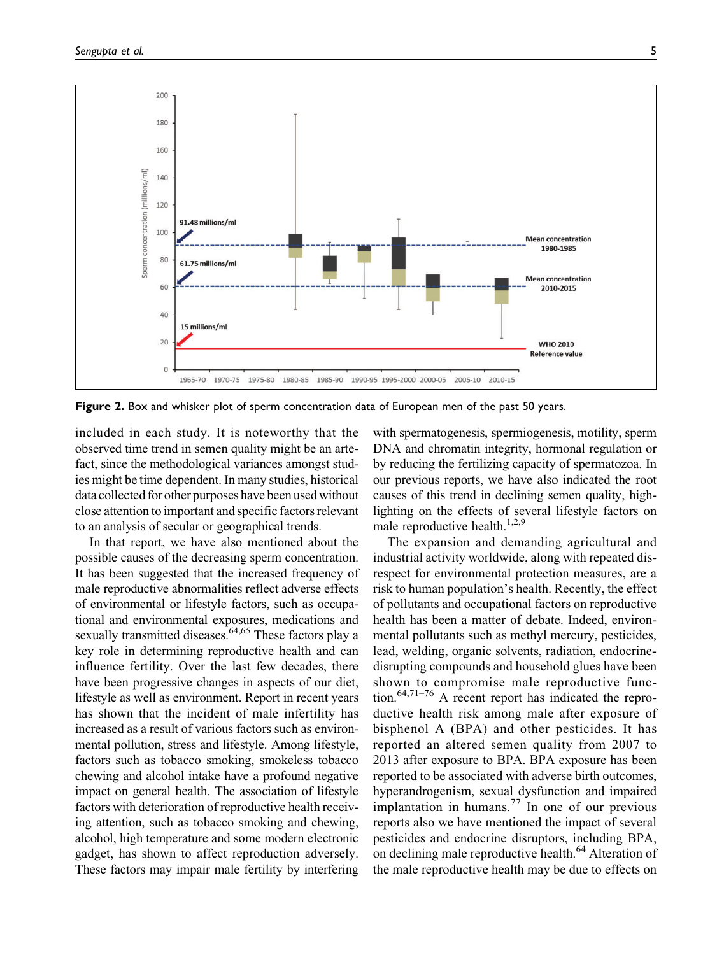

Figure 2. Box and whisker plot of sperm concentration data of European men of the past 50 years.

included in each study. It is noteworthy that the observed time trend in semen quality might be an artefact, since the methodological variances amongst studies might be time dependent. In many studies, historical data collected for other purposes have been used without close attention to important and specific factors relevant to an analysis of secular or geographical trends.

In that report, we have also mentioned about the possible causes of the decreasing sperm concentration. It has been suggested that the increased frequency of male reproductive abnormalities reflect adverse effects of environmental or lifestyle factors, such as occupational and environmental exposures, medications and sexually transmitted diseases.<sup>64,65</sup> These factors play a key role in determining reproductive health and can influence fertility. Over the last few decades, there have been progressive changes in aspects of our diet, lifestyle as well as environment. Report in recent years has shown that the incident of male infertility has increased as a result of various factors such as environmental pollution, stress and lifestyle. Among lifestyle, factors such as tobacco smoking, smokeless tobacco chewing and alcohol intake have a profound negative impact on general health. The association of lifestyle factors with deterioration of reproductive health receiving attention, such as tobacco smoking and chewing, alcohol, high temperature and some modern electronic gadget, has shown to affect reproduction adversely. These factors may impair male fertility by interfering

with spermatogenesis, spermiogenesis, motility, sperm DNA and chromatin integrity, hormonal regulation or by reducing the fertilizing capacity of spermatozoa. In our previous reports, we have also indicated the root causes of this trend in declining semen quality, highlighting on the effects of several lifestyle factors on male reproductive health. $1,2,9$ 

The expansion and demanding agricultural and industrial activity worldwide, along with repeated disrespect for environmental protection measures, are a risk to human population's health. Recently, the effect of pollutants and occupational factors on reproductive health has been a matter of debate. Indeed, environmental pollutants such as methyl mercury, pesticides, lead, welding, organic solvents, radiation, endocrinedisrupting compounds and household glues have been shown to compromise male reproductive function.64,71–76 A recent report has indicated the reproductive health risk among male after exposure of bisphenol A (BPA) and other pesticides. It has reported an altered semen quality from 2007 to 2013 after exposure to BPA. BPA exposure has been reported to be associated with adverse birth outcomes, hyperandrogenism, sexual dysfunction and impaired implantation in humans.<sup>77</sup> In one of our previous reports also we have mentioned the impact of several pesticides and endocrine disruptors, including BPA, on declining male reproductive health.<sup>64</sup> Alteration of the male reproductive health may be due to effects on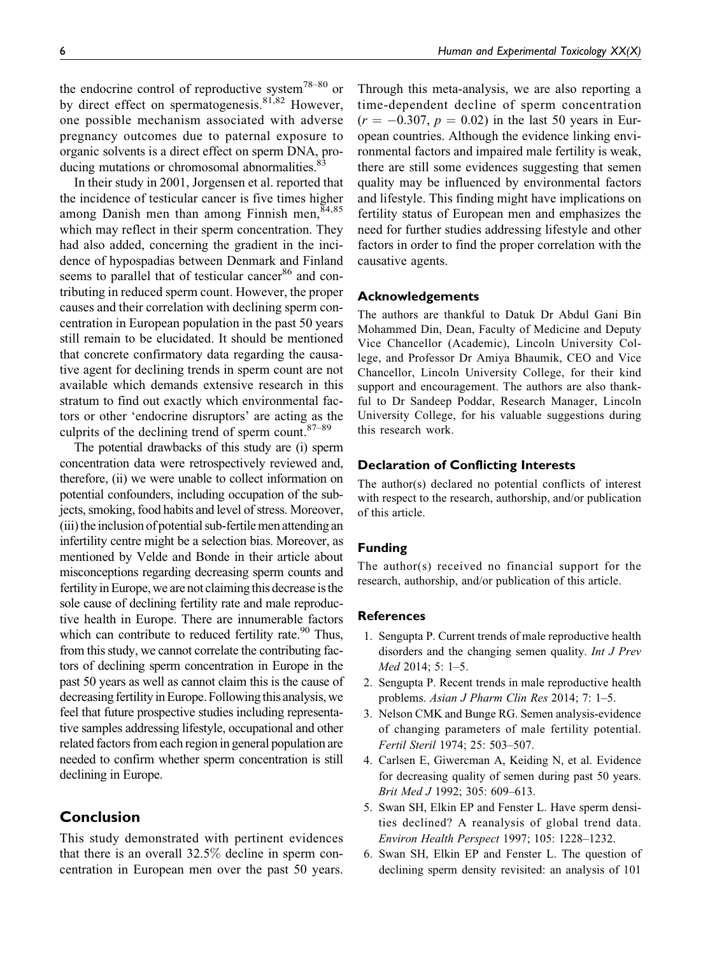the endocrine control of reproductive system<sup>78–80</sup> or by direct effect on spermatogenesis.<sup>81,82</sup> However, one possible mechanism associated with adverse pregnancy outcomes due to paternal exposure to organic solvents is a direct effect on sperm DNA, producing mutations or chromosomal abnormalities.<sup>83</sup>

In their study in 2001, Jorgensen et al. reported that the incidence of testicular cancer is five times higher among Danish men than among Finnish men,<sup>84,85</sup> which may reflect in their sperm concentration. They had also added, concerning the gradient in the incidence of hypospadias between Denmark and Finland seems to parallel that of testicular cancer<sup>86</sup> and contributing in reduced sperm count. However, the proper causes and their correlation with declining sperm concentration in European population in the past 50 years still remain to be elucidated. It should be mentioned that concrete confirmatory data regarding the causative agent for declining trends in sperm count are not available which demands extensive research in this stratum to find out exactly which environmental factors or other 'endocrine disruptors' are acting as the culprits of the declining trend of sperm count. $87-89$ 

The potential drawbacks of this study are (i) sperm concentration data were retrospectively reviewed and, therefore, (ii) we were unable to collect information on potential confounders, including occupation of the subjects, smoking, food habits and level of stress. Moreover, (iii) the inclusion of potential sub-fertile men attending an infertility centre might be a selection bias. Moreover, as mentioned by Velde and Bonde in their article about misconceptions regarding decreasing sperm counts and fertility in Europe, we are not claiming this decrease is the sole cause of declining fertility rate and male reproductive health in Europe. There are innumerable factors which can contribute to reduced fertility rate. $90$  Thus, from this study, we cannot correlate the contributing factors of declining sperm concentration in Europe in the past 50 years as well as cannot claim this is the cause of decreasing fertility in Europe. Following this analysis, we feel that future prospective studies including representative samples addressing lifestyle, occupational and other related factors from each region in general population are needed to confirm whether sperm concentration is still declining in Europe.

## Conclusion

This study demonstrated with pertinent evidences that there is an overall 32.5% decline in sperm concentration in European men over the past 50 years.

Through this meta-analysis, we are also reporting a time-dependent decline of sperm concentration  $(r = -0.307, p = 0.02)$  in the last 50 years in European countries. Although the evidence linking environmental factors and impaired male fertility is weak, there are still some evidences suggesting that semen quality may be influenced by environmental factors and lifestyle. This finding might have implications on fertility status of European men and emphasizes the need for further studies addressing lifestyle and other factors in order to find the proper correlation with the causative agents.

#### Acknowledgements

The authors are thankful to Datuk Dr Abdul Gani Bin Mohammed Din, Dean, Faculty of Medicine and Deputy Vice Chancellor (Academic), Lincoln University College, and Professor Dr Amiya Bhaumik, CEO and Vice Chancellor, Lincoln University College, for their kind support and encouragement. The authors are also thankful to Dr Sandeep Poddar, Research Manager, Lincoln University College, for his valuable suggestions during this research work.

#### Declaration of Conflicting Interests

The author(s) declared no potential conflicts of interest with respect to the research, authorship, and/or publication of this article.

#### Funding

The author(s) received no financial support for the research, authorship, and/or publication of this article.

#### **References**

- 1. Sengupta P. Current trends of male reproductive health disorders and the changing semen quality. Int J Prev Med 2014; 5: 1–5.
- 2. Sengupta P. Recent trends in male reproductive health problems. Asian J Pharm Clin Res 2014; 7: 1–5.
- 3. Nelson CMK and Bunge RG. Semen analysis-evidence of changing parameters of male fertility potential. Fertil Steril 1974; 25: 503–507.
- 4. Carlsen E, Giwercman A, Keiding N, et al. Evidence for decreasing quality of semen during past 50 years. Brit Med J 1992; 305: 609–613.
- 5. Swan SH, Elkin EP and Fenster L. Have sperm densities declined? A reanalysis of global trend data. Environ Health Perspect 1997; 105: 1228–1232.
- 6. Swan SH, Elkin EP and Fenster L. The question of declining sperm density revisited: an analysis of 101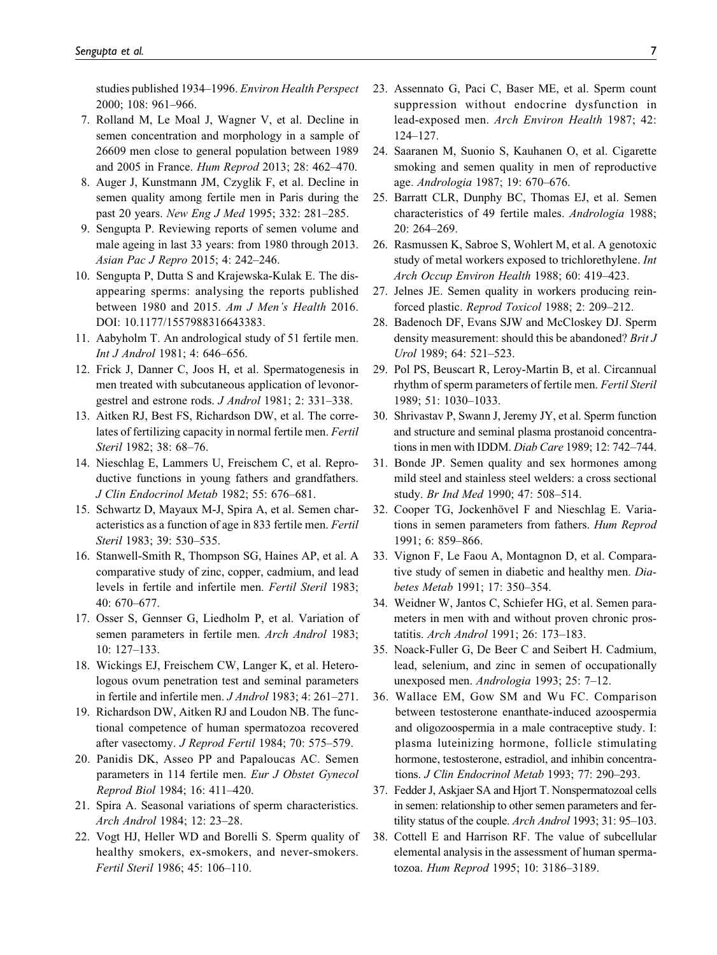studies published 1934–1996. Environ Health Perspect 2000; 108: 961–966.

- 7. Rolland M, Le Moal J, Wagner V, et al. Decline in semen concentration and morphology in a sample of 26609 men close to general population between 1989 and 2005 in France. Hum Reprod 2013; 28: 462–470.
- 8. Auger J, Kunstmann JM, Czyglik F, et al. Decline in semen quality among fertile men in Paris during the past 20 years. New Eng J Med 1995; 332: 281–285.
- 9. Sengupta P. Reviewing reports of semen volume and male ageing in last 33 years: from 1980 through 2013. Asian Pac J Repro 2015; 4: 242–246.
- 10. Sengupta P, Dutta S and Krajewska-Kulak E. The disappearing sperms: analysing the reports published between 1980 and 2015. Am J Men's Health 2016. DOI: 10.1177/1557988316643383.
- 11. Aabyholm T. An andrological study of 51 fertile men. Int J Androl 1981; 4: 646–656.
- 12. Frick J, Danner C, Joos H, et al. Spermatogenesis in men treated with subcutaneous application of levonorgestrel and estrone rods. J Androl 1981; 2: 331–338.
- 13. Aitken RJ, Best FS, Richardson DW, et al. The correlates of fertilizing capacity in normal fertile men. Fertil Steril 1982; 38: 68–76.
- 14. Nieschlag E, Lammers U, Freischem C, et al. Reproductive functions in young fathers and grandfathers. J Clin Endocrinol Metab 1982; 55: 676–681.
- 15. Schwartz D, Mayaux M-J, Spira A, et al. Semen characteristics as a function of age in 833 fertile men. Fertil Steril 1983; 39: 530–535.
- 16. Stanwell-Smith R, Thompson SG, Haines AP, et al. A comparative study of zinc, copper, cadmium, and lead levels in fertile and infertile men. Fertil Steril 1983; 40: 670–677.
- 17. Osser S, Gennser G, Liedholm P, et al. Variation of semen parameters in fertile men. Arch Androl 1983; 10: 127–133.
- 18. Wickings EJ, Freischem CW, Langer K, et al. Heterologous ovum penetration test and seminal parameters in fertile and infertile men. J Androl 1983; 4: 261–271.
- 19. Richardson DW, Aitken RJ and Loudon NB. The functional competence of human spermatozoa recovered after vasectomy. J Reprod Fertil 1984; 70: 575–579.
- 20. Panidis DK, Asseo PP and Papaloucas AC. Semen parameters in 114 fertile men. Eur J Obstet Gynecol Reprod Biol 1984; 16: 411–420.
- 21. Spira A. Seasonal variations of sperm characteristics. Arch Androl 1984; 12: 23–28.
- 22. Vogt HJ, Heller WD and Borelli S. Sperm quality of healthy smokers, ex-smokers, and never-smokers. Fertil Steril 1986; 45: 106–110.
- 23. Assennato G, Paci C, Baser ME, et al. Sperm count suppression without endocrine dysfunction in lead-exposed men. Arch Environ Health 1987; 42: 124–127.
- 24. Saaranen M, Suonio S, Kauhanen O, et al. Cigarette smoking and semen quality in men of reproductive age. Andrologia 1987; 19: 670–676.
- 25. Barratt CLR, Dunphy BC, Thomas EJ, et al. Semen characteristics of 49 fertile males. Andrologia 1988; 20: 264–269.
- 26. Rasmussen K, Sabroe S, Wohlert M, et al. A genotoxic study of metal workers exposed to trichlorethylene. Int Arch Occup Environ Health 1988; 60: 419–423.
- 27. Jelnes JE. Semen quality in workers producing reinforced plastic. Reprod Toxicol 1988; 2: 209–212.
- 28. Badenoch DF, Evans SJW and McCloskey DJ. Sperm density measurement: should this be abandoned? Brit J Urol 1989; 64: 521–523.
- 29. Pol PS, Beuscart R, Leroy-Martin B, et al. Circannual rhythm of sperm parameters of fertile men. Fertil Steril 1989; 51: 1030–1033.
- 30. Shrivastav P, Swann J, Jeremy JY, et al. Sperm function and structure and seminal plasma prostanoid concentrations in men with IDDM. Diab Care 1989; 12: 742–744.
- 31. Bonde JP. Semen quality and sex hormones among mild steel and stainless steel welders: a cross sectional study. Br Ind Med 1990; 47: 508–514.
- 32. Cooper TG, Jockenhövel F and Nieschlag E. Variations in semen parameters from fathers. Hum Reprod 1991; 6: 859–866.
- 33. Vignon F, Le Faou A, Montagnon D, et al. Comparative study of semen in diabetic and healthy men. Diabetes Metab 1991; 17: 350–354.
- 34. Weidner W, Jantos C, Schiefer HG, et al. Semen parameters in men with and without proven chronic prostatitis. Arch Androl 1991; 26: 173–183.
- 35. Noack-Fuller G, De Beer C and Seibert H. Cadmium, lead, selenium, and zinc in semen of occupationally unexposed men. Andrologia 1993; 25: 7–12.
- 36. Wallace EM, Gow SM and Wu FC. Comparison between testosterone enanthate-induced azoospermia and oligozoospermia in a male contraceptive study. I: plasma luteinizing hormone, follicle stimulating hormone, testosterone, estradiol, and inhibin concentrations. J Clin Endocrinol Metab 1993; 77: 290–293.
- 37. Fedder J, Askjaer SA and Hjort T. Nonspermatozoal cells in semen: relationship to other semen parameters and fertility status of the couple. Arch Androl 1993; 31: 95–103.
- 38. Cottell E and Harrison RF. The value of subcellular elemental analysis in the assessment of human spermatozoa. Hum Reprod 1995; 10: 3186–3189.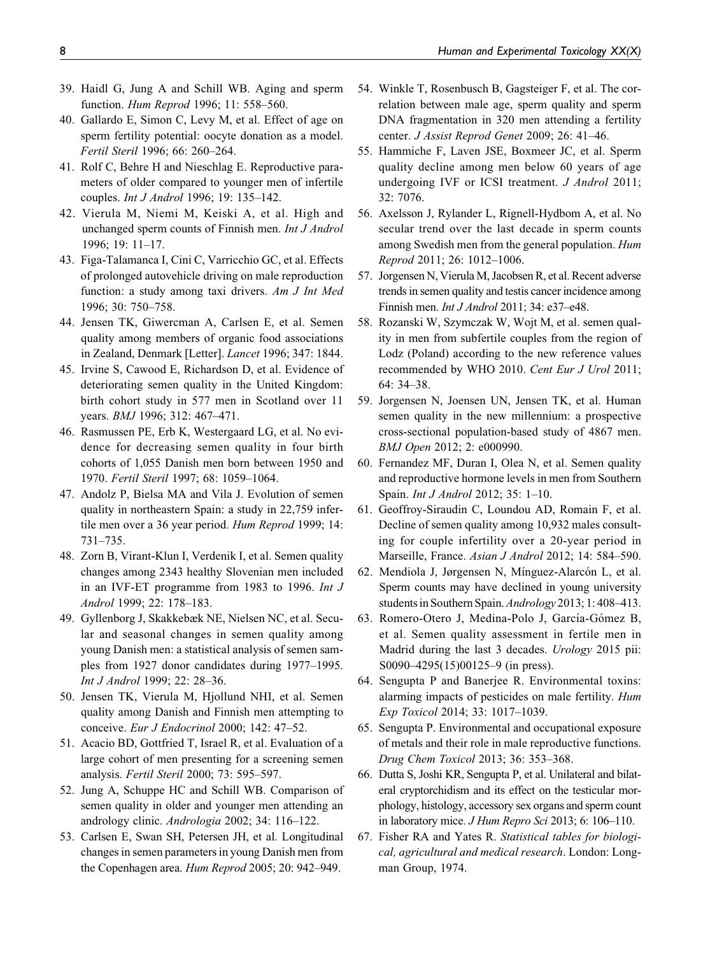- 39. Haidl G, Jung A and Schill WB. Aging and sperm function. Hum Reprod 1996; 11: 558–560.
- 40. Gallardo E, Simon C, Levy M, et al. Effect of age on sperm fertility potential: oocyte donation as a model. Fertil Steril 1996; 66: 260–264.
- 41. Rolf C, Behre H and Nieschlag E. Reproductive parameters of older compared to younger men of infertile couples. Int J Androl 1996; 19: 135–142.
- 42. Vierula M, Niemi M, Keiski A, et al. High and unchanged sperm counts of Finnish men. Int J Androl 1996; 19: 11–17.
- 43. Figa-Talamanca I, Cini C, Varricchio GC, et al. Effects of prolonged autovehicle driving on male reproduction function: a study among taxi drivers. Am J Int Med 1996; 30: 750–758.
- 44. Jensen TK, Giwercman A, Carlsen E, et al. Semen quality among members of organic food associations in Zealand, Denmark [Letter]. Lancet 1996; 347: 1844.
- 45. Irvine S, Cawood E, Richardson D, et al. Evidence of deteriorating semen quality in the United Kingdom: birth cohort study in 577 men in Scotland over 11 years. BMJ 1996; 312: 467–471.
- 46. Rasmussen PE, Erb K, Westergaard LG, et al. No evidence for decreasing semen quality in four birth cohorts of 1,055 Danish men born between 1950 and 1970. Fertil Steril 1997; 68: 1059–1064.
- 47. Andolz P, Bielsa MA and Vila J. Evolution of semen quality in northeastern Spain: a study in 22,759 infertile men over a 36 year period. Hum Reprod 1999; 14: 731–735.
- 48. Zorn B, Virant-Klun I, Verdenik I, et al. Semen quality changes among 2343 healthy Slovenian men included in an IVF-ET programme from 1983 to 1996. Int J Androl 1999; 22: 178–183.
- 49. Gyllenborg J, Skakkebæk NE, Nielsen NC, et al. Secular and seasonal changes in semen quality among young Danish men: a statistical analysis of semen samples from 1927 donor candidates during 1977–1995. Int J Androl 1999; 22: 28–36.
- 50. Jensen TK, Vierula M, Hjollund NHI, et al. Semen quality among Danish and Finnish men attempting to conceive. Eur J Endocrinol 2000; 142: 47–52.
- 51. Acacio BD, Gottfried T, Israel R, et al. Evaluation of a large cohort of men presenting for a screening semen analysis. Fertil Steril 2000; 73: 595–597.
- 52. Jung A, Schuppe HC and Schill WB. Comparison of semen quality in older and younger men attending an andrology clinic. Andrologia 2002; 34: 116–122.
- 53. Carlsen E, Swan SH, Petersen JH, et al. Longitudinal changes in semen parameters in young Danish men from the Copenhagen area. Hum Reprod 2005; 20: 942–949.
- 54. Winkle T, Rosenbusch B, Gagsteiger F, et al. The correlation between male age, sperm quality and sperm DNA fragmentation in 320 men attending a fertility center. J Assist Reprod Genet 2009; 26: 41–46.
- 55. Hammiche F, Laven JSE, Boxmeer JC, et al. Sperm quality decline among men below 60 years of age undergoing IVF or ICSI treatment. J Androl 2011; 32: 7076.
- 56. Axelsson J, Rylander L, Rignell-Hydbom A, et al. No secular trend over the last decade in sperm counts among Swedish men from the general population. Hum Reprod 2011; 26: 1012–1006.
- 57. Jorgensen N, Vierula M, Jacobsen R, et al. Recent adverse trends in semen quality and testis cancer incidence among Finnish men. Int J Androl 2011; 34: e37–e48.
- 58. Rozanski W, Szymczak W, Wojt M, et al. semen quality in men from subfertile couples from the region of Lodz (Poland) according to the new reference values recommended by WHO 2010. Cent Eur J Urol 2011; 64: 34–38.
- 59. Jorgensen N, Joensen UN, Jensen TK, et al. Human semen quality in the new millennium: a prospective cross-sectional population-based study of 4867 men. BMJ Open 2012; 2: e000990.
- 60. Fernandez MF, Duran I, Olea N, et al. Semen quality and reproductive hormone levels in men from Southern Spain. Int J Androl 2012; 35: 1–10.
- 61. Geoffroy-Siraudin C, Loundou AD, Romain F, et al. Decline of semen quality among 10,932 males consulting for couple infertility over a 20-year period in Marseille, France. Asian J Androl 2012; 14: 584–590.
- 62. Mendiola J, Jørgensen N, Mínguez-Alarcón L, et al. Sperm counts may have declined in young university students in Southern Spain.Andrology 2013; 1: 408–413.
- 63. Romero-Otero J, Medina-Polo J, García-Gómez B, et al. Semen quality assessment in fertile men in Madrid during the last 3 decades. Urology 2015 pii: S0090–4295(15)00125–9 (in press).
- 64. Sengupta P and Banerjee R. Environmental toxins: alarming impacts of pesticides on male fertility. Hum Exp Toxicol 2014; 33: 1017–1039.
- 65. Sengupta P. Environmental and occupational exposure of metals and their role in male reproductive functions. Drug Chem Toxicol 2013; 36: 353–368.
- 66. Dutta S, Joshi KR, Sengupta P, et al. Unilateral and bilateral cryptorchidism and its effect on the testicular morphology, histology, accessory sex organs and sperm count in laboratory mice. J Hum Repro Sci 2013; 6: 106–110.
- 67. Fisher RA and Yates R. Statistical tables for biological, agricultural and medical research. London: Longman Group, 1974.